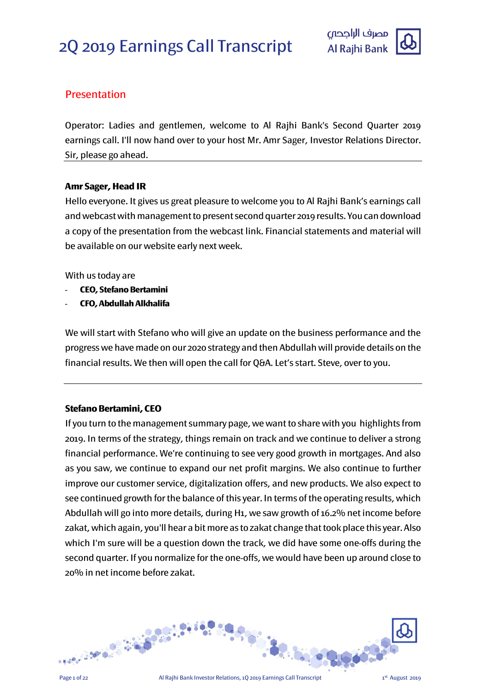

# **Presentation**

Operator: Ladies and gentlemen, welcome to Al Rajhi Bank's Second Quarter 2019 earnings call. I'll now hand over to your host Mr. Amr Sager, Investor Relations Director. Sir, please go ahead.

# **Amr Sager, Head IR**

Hello everyone. It gives us great pleasure to welcome you to Al Rajhi Bank's earnings call and webcast with management to present secondquarter 2019 results. You can download a copy of the presentation from the webcast link. Financial statements and material will be available on our website early next week.

With us today are

- **CEO, Stefano Bertamini**
- **CFO, Abdullah Alkhalifa**

We will start with Stefano who will give an update on the business performance and the progress we have made on our 2020 strategy and then Abdullah will provide details on the financial results. We then will open the call for Q&A. Let's start. Steve, over to you.

# **Stefano Bertamini, CEO**

If you turn to the management summary page, we want to share with you highlights from 2019. In terms of the strategy, things remain on track and we continue to deliver a strong financial performance. We're continuing to see very good growth in mortgages. And also as you saw, we continue to expand our net profit margins. We also continue to further improve our customer service, digitalization offers, and new products. We also expect to see continued growth for the balance of this year. In terms of the operating results, which Abdullah will go into more details, during H1, we saw growth of 16.2% net income before zakat, which again, you'll hear a bit more as to zakat change that took place this year. Also which I'm sure will be a question down the track, we did have some one-offs during the second quarter. If you normalize for the one-offs, we would have been up around close to 20% in net income before zakat.

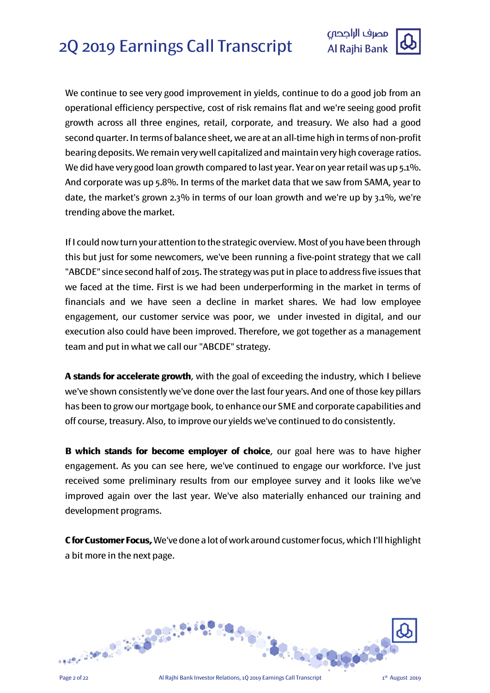

We continue to see very good improvement in yields, continue to do a good job from an operational efficiency perspective, cost of risk remains flat and we're seeing good profit growth across all three engines, retail, corporate, and treasury. We also had a good second quarter. In terms of balance sheet, we are at an all-time high in terms of non-profit bearing deposits. We remain very well capitalized and maintain very high coverage ratios. We did have very good loan growth compared to last year. Year on year retail was up 5.1%. And corporate was up 5.8%. In terms of the market data that we saw from SAMA, year to date, the market's grown 2.3% in terms of our loan growth and we're up by 3.1%, we're trending above the market.

If I could now turn your attention to the strategic overview. Most of you have been through this but just for some newcomers, we've been running a five-point strategy that we call "ABCDE" since second half of 2015. The strategy was put in place to address five issues that we faced at the time. First is we had been underperforming in the market in terms of financials and we have seen a decline in market shares. We had low employee engagement, our customer service was poor, we under invested in digital, and our execution also could have been improved. Therefore, we got together as a management team and put in what we call our "ABCDE" strategy.

**A stands for accelerate growth**, with the goal of exceeding the industry, which I believe we've shown consistently we've done over the last four years. And one of those key pillars has been to grow our mortgage book, to enhance our SME and corporate capabilities and off course, treasury. Also, to improve our yields we've continued to do consistently.

**B which stands for become employer of choice**, our goal here was to have higher engagement. As you can see here, we've continued to engage our workforce. I've just received some preliminary results from our employee survey and it looks like we've improved again over the last year. We've also materially enhanced our training and development programs.

**C for Customer Focus,** We've done a lot of work around customer focus, which I'll highlight a bit more in the next page.

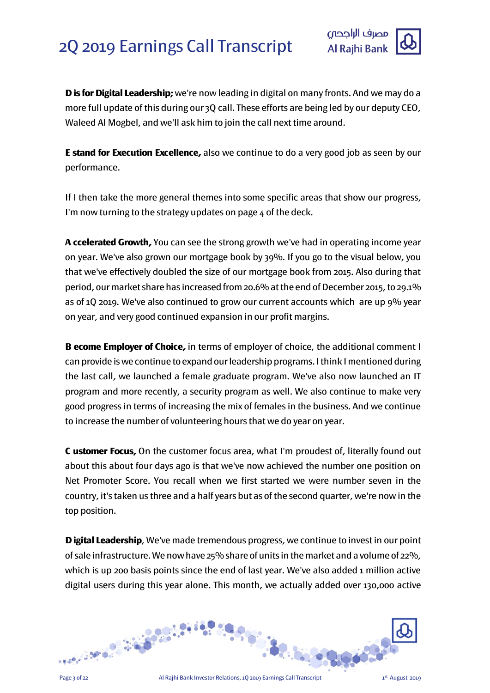

**D is for Digital Leadership;**we're now leading in digital on many fronts. And we may do a more full update of this during our 3Q call. These efforts are being led by our deputy CEO, Waleed Al Mogbel, and we'll ask him to join the call next time around.

**E stand for Execution Excellence,** also we continue to do a very good job as seen by our performance.

If I then take the more general themes into some specific areas that show our progress, I'm now turning to the strategy updates on page  $\Delta$  of the deck.

**A ccelerated Growth,** You can see the strong growth we've had in operating income year on year. We've also grown our mortgage book by 39%. If you go to the visual below, you that we've effectively doubled the size of our mortgage book from 2015. Also during that period, our market share has increased from 20.6% at the end of December 2015, to 29.1% as of 1Q 2019. We've also continued to grow our current accounts which are up 9% year on year, and very good continued expansion in our profit margins.

**B ecome Employer of Choice,** in terms of employer of choice, the additional comment I can provide is we continue to expand our leadership programs. I think I mentioned during the last call, we launched a female graduate program. We've also now launched an IT program and more recently, a security program as well. We also continue to make very good progress in terms of increasing the mix of females in the business. And we continue to increase the number of volunteering hours that we do year on year.

**C ustomer Focus,** On the customer focus area, what I'm proudest of, literally found out about this about four days ago is that we've now achieved the number one position on Net Promoter Score. You recall when we first started we were number seven in the country, it's taken us three and a half years but as of the second quarter, we're now in the top position.

**Digital Leadership**, We've made tremendous progress, we continue to invest in our point of sale infrastructure. We now have 25% share of units in the market and a volume of 22%, which is up 200 basis points since the end of last year. We've also added 1 million active digital users during this year alone. This month, we actually added over 130,000 active

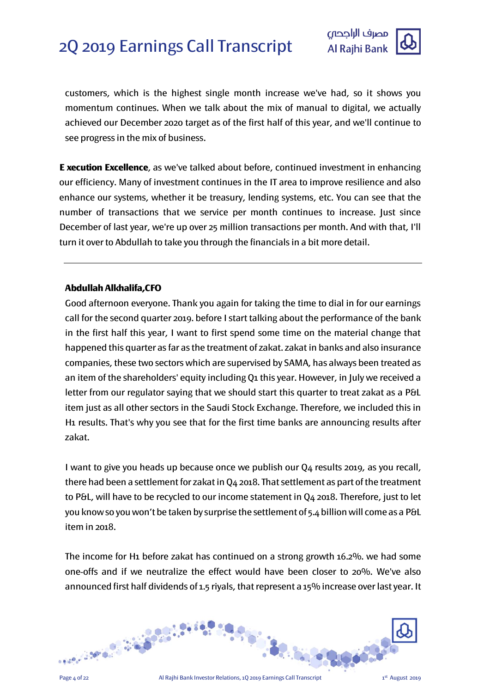

customers, which is the highest single month increase we've had, so it shows you momentum continues. When we talk about the mix of manual to digital, we actually achieved our December 2020 target as of the first half of this year, and we'll continue to see progress in the mix of business.

**E xecution Excellence**, as we've talked about before, continued investment in enhancing our efficiency. Many of investment continues in the IT area to improve resilience and also enhance our systems, whether it be treasury, lending systems, etc. You can see that the number of transactions that we service per month continues to increase. Just since December of last year, we're up over 25 million transactions per month. And with that, I'll turn it over to Abdullah to take you through the financials in a bit more detail.

# **Abdullah Alkhalifa,CFO**

Good afternoon everyone. Thank you again for taking the time to dial in for our earnings call for the second quarter 2019. before I start talking about the performance of the bank in the first half this year, I want to first spend some time on the material change that happened this quarter as far as the treatment of zakat. zakat in banks and also insurance companies, these two sectors which are supervised by SAMA, has always been treated as an item of the shareholders' equity including Q1 this year. However, in July we received a letter from our regulator saying that we should start this quarter to treat zakat as a P&L item just as all other sectors in the Saudi Stock Exchange. Therefore, we included this in H1 results. That's why you see that for the first time banks are announcing results after zakat.

I want to give you heads up because once we publish our Q4 results 2019, as you recall, there had been a settlement for zakat in Q4 2018. That settlement as part of the treatment to P&L, will have to be recycled to our income statement in Q4 2018. Therefore, just to let you knowso you won't be taken by surprise the settlement of 5.4 billion will come as a P&L item in 2018.

The income for H1 before zakat has continued on a strong growth 16.2%. we had some one-offs and if we neutralize the effect would have been closer to 20%. We've also announced first half dividends of 1.5 riyals, that represent a 15% increase over last year. It

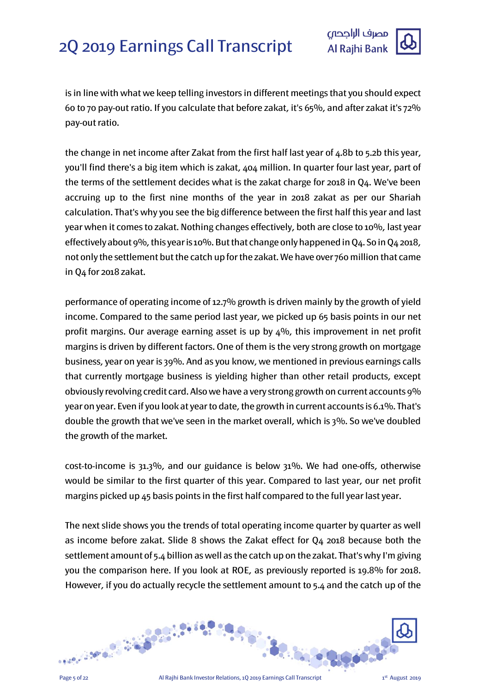



is in line with what we keep telling investors in different meetings that you should expect 60 to 70 pay-out ratio. If you calculate that before zakat, it's 65%, and after zakat it's 72% pay-out ratio.

the change in net income after Zakat from the first half last year of 4.8b to 5.2b this year, you'll find there's a big item which is zakat, 404 million. In quarter four last year, part of the terms of the settlement decides what is the zakat charge for 2018 in Q4. We've been accruing up to the first nine months of the year in 2018 zakat as per our Shariah calculation. That's why you see the big difference between the first half this year and last year when it comes to zakat. Nothing changes effectively, both are close to 10%, last year effectively about 9%, this year is 10%. But that change only happened in Q4. So in Q4 2018, not only the settlement but the catch up for the zakat. We have over 760 million that came in Q4 for 2018 zakat.

performance of operating income of 12.7% growth is driven mainly by the growth of yield income. Compared to the same period last year, we picked up 65 basis points in our net profit margins. Our average earning asset is up by  $4\%$ , this improvement in net profit margins is driven by different factors. One of them is the very strong growth on mortgage business, year on year is 39%. And as you know, we mentioned in previous earnings calls that currently mortgage business is yielding higher than other retail products, except obviously revolving credit card. Also we have a very strong growth on current accounts 9% year on year. Even if you look at year to date, the growth in current accounts is 6.1%. That's double the growth that we've seen in the market overall, which is 3%. So we've doubled the growth of the market.

cost-to-income is 31.3%, and our guidance is below 31%. We had one-offs, otherwise would be similar to the first quarter of this year. Compared to last year, our net profit margins picked up 45 basis points in the first half compared to the full year last year.

The next slide shows you the trends of total operating income quarter by quarter as well as income before zakat. Slide 8 shows the Zakat effect for Q4 2018 because both the settlement amount of 5.4 billion as well as the catch up on the zakat. That's why I'm giving you the comparison here. If you look at ROE, as previously reported is 19.8% for 2018. However, if you do actually recycle the settlement amount to 5.4 and the catch up of the

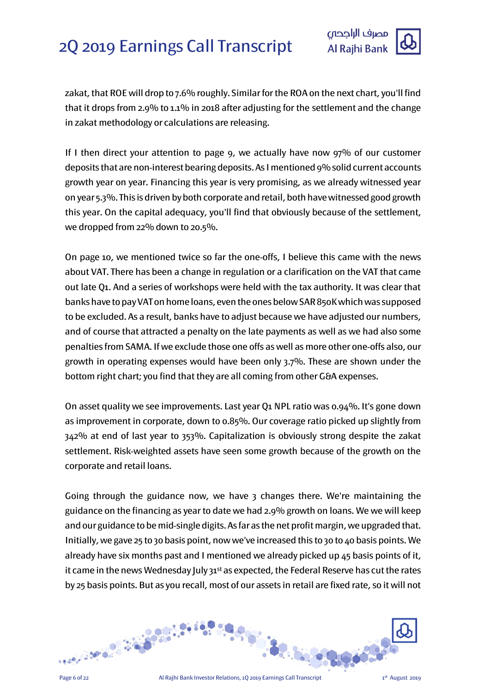



zakat, that ROE will drop to 7.6% roughly. Similar for the ROA on the next chart, you'll find that it drops from 2.9% to 1.1% in 2018 after adjusting for the settlement and the change in zakat methodology or calculations are releasing.

If I then direct your attention to page 9, we actually have now 97% of our customer deposits that are non-interest bearing deposits. As I mentioned 9%solid current accounts growth year on year. Financing this year is very promising, as we already witnessed year on year 5.3%. This is driven by both corporate and retail,both have witnessed good growth this year. On the capital adequacy, you'll find that obviously because of the settlement, we dropped from 22% down to 20.5%.

On page 10, we mentioned twice so far the one-offs, I believe this came with the news about VAT. There has been a change in regulation or a clarification on the VAT that came out late Q1. And a series of workshops were held with the tax authority. It was clear that banks have to pay VAT on home loans, even the ones below SAR 850Kwhich was supposed to be excluded. As a result, banks have to adjust because we have adjusted our numbers, and of course that attracted a penalty on the late payments as well as we had also some penalties from SAMA. If we exclude those one offs as well as more other one-offs also, our growth in operating expenses would have been only 3.7%. These are shown under the bottom right chart; you find that they are all coming from other G&A expenses.

On asset quality we see improvements. Last year Q1 NPL ratio was 0.94%. It's gone down as improvement in corporate, down to 0.85%. Our coverage ratio picked up slightly from 342% at end of last year to 353%. Capitalization is obviously strong despite the zakat settlement. Risk-weighted assets have seen some growth because of the growth on the corporate and retail loans.

Going through the guidance now, we have 3 changes there. We're maintaining the guidance on the financing as year to date we had 2.9% growth on loans. We we will keep and our guidance to be mid-single digits. As far as the net profit margin, we upgraded that. Initially, we gave 25 to 30 basis point, now we've increased this to 30 to 40 basis points. We already have six months past and I mentioned we already picked up 45 basis points of it, it came in the news Wednesday July 31<sup>st</sup> as expected, the Federal Reserve has cut the rates by 25 basis points. But as you recall, most of our assets in retail are fixed rate, so it will not

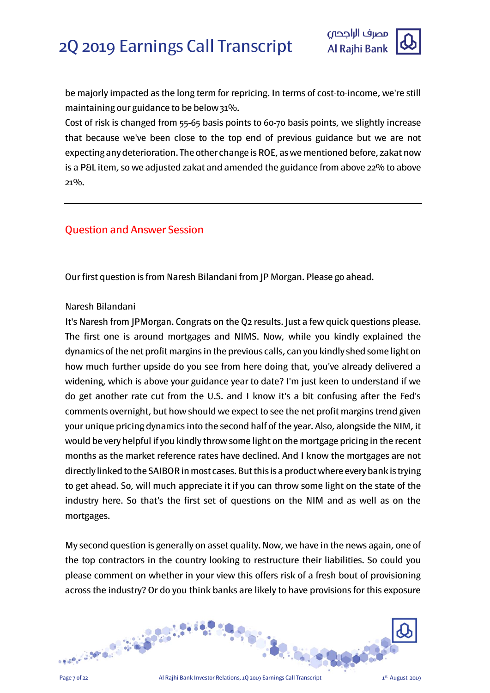

be majorly impacted as the long term for repricing. In terms of cost-to-income, we're still maintaining our guidance to be below 31%.

Cost of risk is changed from 55-65 basis points to 60-70 basis points, we slightly increase that because we've been close to the top end of previous guidance but we are not expecting any deterioration. The other change is ROE, as we mentioned before, zakat now is a P&L item, so we adjusted zakat and amended the guidance from above 22% to above 21%.

# Question and Answer Session

Our first question is from Naresh Bilandani from JP Morgan. Please go ahead.

# Naresh Bilandani

It's Naresh from JPMorgan. Congrats on the Q2 results. Just a few quick questions please. The first one is around mortgages and NIMS. Now, while you kindly explained the dynamics of the net profit margins in the previous calls, can you kindly shed some light on how much further upside do you see from here doing that, you've already delivered a widening, which is above your guidance year to date? I'm just keen to understand if we do get another rate cut from the U.S. and I know it's a bit confusing after the Fed's comments overnight, but how should we expect to see the net profit margins trend given your unique pricing dynamics into the second half of the year. Also, alongside the NIM, it would be very helpful if you kindly throw some light on the mortgage pricing in the recent months as the market reference rates have declined. And I know the mortgages are not directly linked to the SAIBOR in most cases. But this is a product where every bank is trying to get ahead. So, will much appreciate it if you can throw some light on the state of the industry here. So that's the first set of questions on the NIM and as well as on the mortgages.

My second question is generally on asset quality. Now, we have in the news again, one of the top contractors in the country looking to restructure their liabilities. So could you please comment on whether in your view this offers risk of a fresh bout of provisioning across the industry? Or do you think banks are likely to have provisions for this exposure

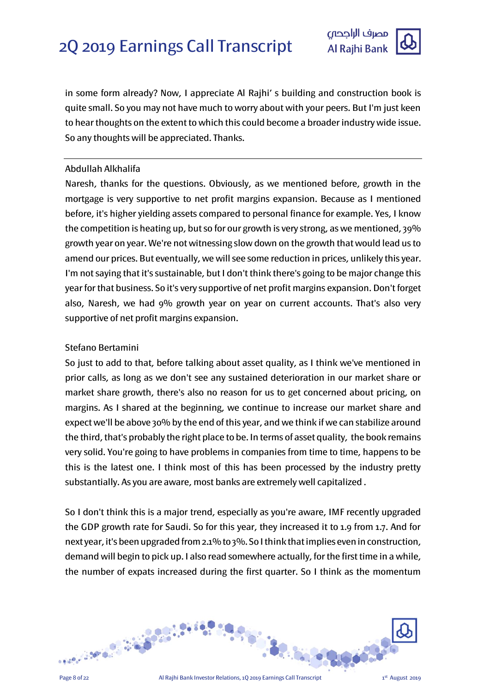

in some form already? Now, I appreciate Al Rajhi' s building and construction book is quite small. So you may not have much to worry about with your peers. But I'm just keen to hear thoughts on the extent to which this could become a broader industry wide issue. So any thoughts will be appreciated. Thanks.

# Abdullah Alkhalifa

Naresh, thanks for the questions. Obviously, as we mentioned before, growth in the mortgage is very supportive to net profit margins expansion. Because as I mentioned before, it's higher yielding assets compared to personal finance for example. Yes, I know the competition is heating up, but so for our growth is very strong, as we mentioned, 39% growth year on year. We're not witnessing slow down on the growth that would lead us to amend our prices. But eventually, we will see some reduction in prices, unlikely this year. I'm not saying that it's sustainable, but I don't think there's going to be major change this year for that business. So it's very supportive of net profit margins expansion. Don't forget also, Naresh, we had 9% growth year on year on current accounts. That's also very supportive of net profit margins expansion.

# Stefano Bertamini

So just to add to that, before talking about asset quality, as I think we've mentioned in prior calls, as long as we don't see any sustained deterioration in our market share or market share growth, there's also no reason for us to get concerned about pricing, on margins. As I shared at the beginning, we continue to increase our market share and expect we'll be above 30% by the end of this year, and we think if we can stabilize around the third, that's probably the right place to be. In terms of asset quality, the book remains very solid. You're going to have problems in companies from time to time, happens to be this is the latest one. I think most of this has been processed by the industry pretty substantially. As you are aware, most banks are extremely well capitalized .

So I don't think this is a major trend, especially as you're aware, IMF recently upgraded the GDP growth rate for Saudi. So for this year, they increased it to 1.9 from 1.7. And for next year, it's been upgraded from 2.1% to 3%. So I think that implies even in construction, demand will begin to pick up. I also read somewhere actually, for the first time in a while, the number of expats increased during the first quarter. So I think as the momentum

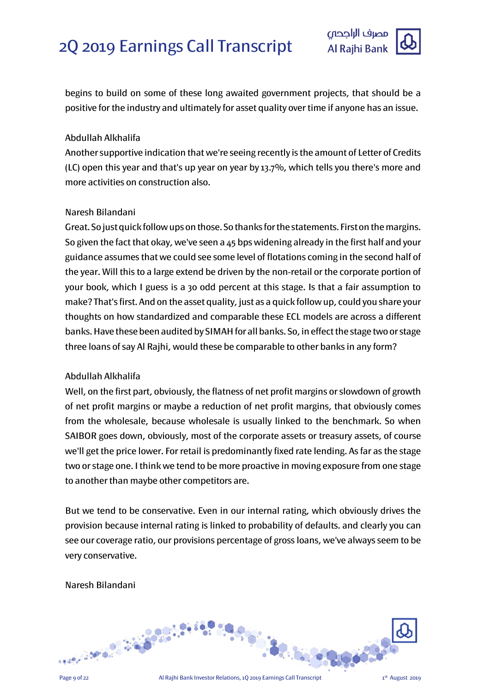

begins to build on some of these long awaited government projects, that should be a positive for the industry and ultimately for asset quality over time if anyone has an issue.

# Abdullah Alkhalifa

Another supportive indication that we're seeing recently is the amount of Letter of Credits (LC) open this year and that's up year on year by 13.7%, which tells you there's more and more activities on construction also.

# Naresh Bilandani

Great. So just quick follow ups on those. So thanks for the statements. First on the margins. So given the fact that okay, we've seen a 45 bps widening already in the first half and your guidance assumes that we could see some level of flotations coming in the second half of the year. Will this to a large extend be driven by the non-retail or the corporate portion of your book, which I guess is a 30 odd percent at this stage. Is that a fair assumption to make? That's first. And on the asset quality, just as a quick follow up, could you share your thoughts on how standardized and comparable these ECL models are across a different banks. Have these been audited by SIMAH for all banks. So, in effect the stage two or stage three loans of say Al Rajhi, would these be comparable to other banks in any form?

# Abdullah Alkhalifa

Well, on the first part, obviously, the flatness of net profit margins or slowdown of growth of net profit margins or maybe a reduction of net profit margins, that obviously comes from the wholesale, because wholesale is usually linked to the benchmark. So when SAIBOR goes down, obviously, most of the corporate assets or treasury assets, of course we'll get the price lower. For retail is predominantly fixed rate lending. As far as the stage two or stage one. I think we tend to be more proactive in moving exposure from one stage to another than maybe other competitors are.

But we tend to be conservative. Even in our internal rating, which obviously drives the provision because internal rating is linked to probability of defaults. and clearly you can see our coverage ratio, our provisions percentage of gross loans, we've always seem to be very conservative.

# Naresh Bilandani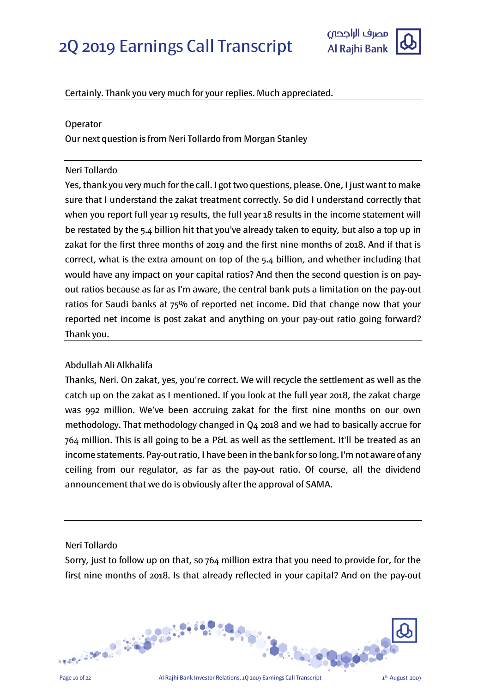

# Certainly. Thank you very much for your replies. Much appreciated.

#### Operator

Our next question is from Neri Tollardo from Morgan Stanley

#### Neri Tollardo

Yes, thank you very much for the call. I got two questions, please. One, I just want to make sure that I understand the zakat treatment correctly. So did I understand correctly that when you report full year 19 results, the full year 18 results in the income statement will be restated by the 5.4 billion hit that you've already taken to equity, but also a top up in zakat for the first three months of 2019 and the first nine months of 2018. And if that is correct, what is the extra amount on top of the 5.4 billion, and whether including that would have any impact on your capital ratios? And then the second question is on payout ratios because as far as I'm aware, the central bank puts a limitation on the pay-out ratios for Saudi banks at 75% of reported net income. Did that change now that your reported net income is post zakat and anything on your pay-out ratio going forward? Thank you.

# Abdullah Ali Alkhalifa

Thanks, Neri. On zakat, yes, you're correct. We will recycle the settlement as well as the catch up on the zakat as I mentioned. If you look at the full year 2018, the zakat charge was 992 million. We've been accruing zakat for the first nine months on our own methodology. That methodology changed in Q4 2018 and we had to basically accrue for 764 million. This is all going to be a P&L as well as the settlement. It'll be treated as an income statements. Pay-out ratio, I have been in the bank for so long. I'm not aware of any ceiling from our regulator, as far as the pay-out ratio. Of course, all the dividend announcement that we do is obviously after the approval of SAMA.

#### Neri Tollardo

Sorry, just to follow up on that, so 764 million extra that you need to provide for, for the first nine months of 2018. Is that already reflected in your capital? And on the pay-out

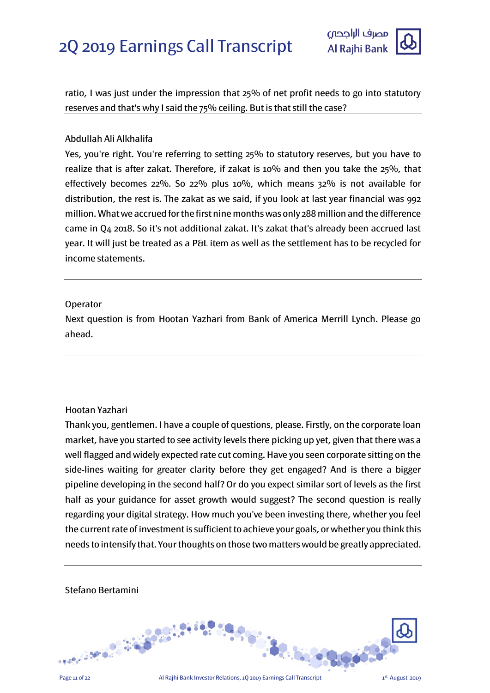

ratio, I was just under the impression that 25% of net profit needs to go into statutory reserves and that's why I said the 75% ceiling. But is that still the case?

#### Abdullah Ali Alkhalifa

Yes, you're right. You're referring to setting 25% to statutory reserves, but you have to realize that is after zakat. Therefore, if zakat is 10% and then you take the 25%, that effectively becomes 22%. So 22% plus 10%, which means 32% is not available for distribution, the rest is. The zakat as we said, if you look at last year financial was 992 million. What we accrued for the first nine months was only 288 million and the difference came in Q4 2018. So it's not additional zakat. It's zakat that's already been accrued last year. It will just be treated as a P&L item as well as the settlement has to be recycled for income statements.

#### Operator

Next question is from Hootan Yazhari from Bank of America Merrill Lynch. Please go ahead.

# Hootan Yazhari

Thank you, gentlemen. I have a couple of questions, please. Firstly, on the corporate loan market, have you started to see activity levels there picking up yet, given that there was a well flagged and widely expected rate cut coming. Have you seen corporate sitting on the side-lines waiting for greater clarity before they get engaged? And is there a bigger pipeline developing in the second half? Or do you expect similar sort of levels as the first half as your guidance for asset growth would suggest? The second question is really regarding your digital strategy. How much you've been investing there, whether you feel the current rate of investment is sufficient to achieve your goals, or whether you think this needs to intensify that. Your thoughts on those two matters would be greatly appreciated.



# Stefano Bertamini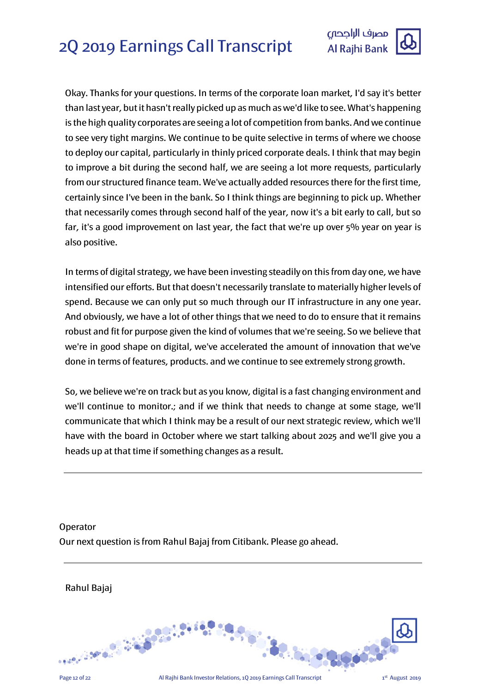

Okay. Thanks for your questions. In terms of the corporate loan market, I'd say it's better than last year, but it hasn't really picked up as much as we'd like to see. What's happening is the high quality corporates are seeing a lot of competition from banks. And we continue to see very tight margins. We continue to be quite selective in terms of where we choose to deploy our capital, particularly in thinly priced corporate deals. I think that may begin to improve a bit during the second half, we are seeing a lot more requests, particularly from our structured finance team. We've actually added resources there for the first time, certainly since I've been in the bank. So I think things are beginning to pick up. Whether that necessarily comes through second half of the year, now it's a bit early to call, but so far, it's a good improvement on last year, the fact that we're up over 5% year on year is also positive.

In terms of digital strategy, we have been investing steadily on this from day one, we have intensified our efforts. But that doesn't necessarily translate to materially higher levels of spend. Because we can only put so much through our IT infrastructure in any one year. And obviously, we have a lot of other things that we need to do to ensure that it remains robust and fit for purpose given the kind of volumes that we're seeing. So we believe that we're in good shape on digital, we've accelerated the amount of innovation that we've done in terms of features, products. and we continue to see extremely strong growth.

So, we believe we're on track but as you know, digital is a fast changing environment and we'll continue to monitor.; and if we think that needs to change at some stage, we'll communicate that which I think may be a result of our next strategic review, which we'll have with the board in October where we start talking about 2025 and we'll give you a heads up at that time if something changes as a result.

**Operator** Our next question is from Rahul Bajaj from Citibank. Please go ahead.

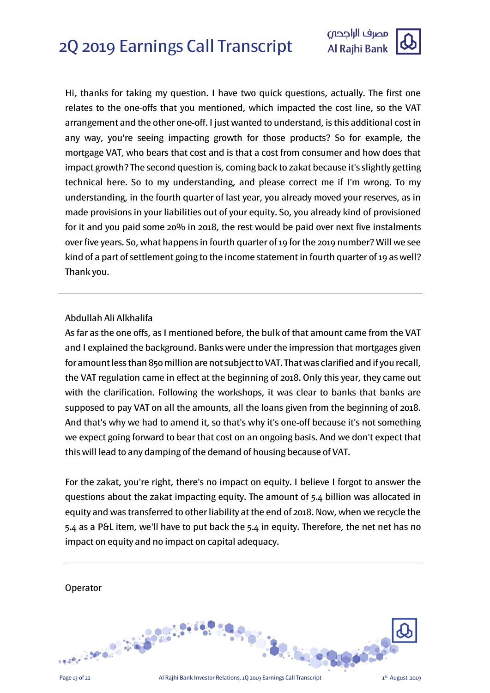

Hi, thanks for taking my question. I have two quick questions, actually. The first one relates to the one-offs that you mentioned, which impacted the cost line, so the VAT arrangement and the other one-off. I just wanted to understand, is this additional cost in any way, you're seeing impacting growth for those products? So for example, the mortgage VAT, who bears that cost and is that a cost from consumer and how does that impact growth? The second question is, coming back to zakat because it's slightly getting technical here. So to my understanding, and please correct me if I'm wrong. To my understanding, in the fourth quarter of last year, you already moved your reserves, as in made provisions in your liabilities out of your equity. So, you already kind of provisioned for it and you paid some 20% in 2018, the rest would be paid over next five instalments over five years. So, what happens in fourth quarter of 19 for the 2019 number? Will we see kind of a part of settlement going to the income statement in fourth quarter of 19 as well? Thank you.

# Abdullah Ali Alkhalifa

As far as the one offs, as I mentioned before, the bulk of that amount came from the VAT and I explained the background. Banks were under the impression that mortgages given for amount less than 850 million are not subject to VAT. That was clarified and if you recall, the VAT regulation came in effect at the beginning of 2018. Only this year, they came out with the clarification. Following the workshops, it was clear to banks that banks are supposed to pay VAT on all the amounts, all the loans given from the beginning of 2018. And that's why we had to amend it, so that's why it's one-off because it's not something we expect going forward to bear that cost on an ongoing basis. And we don't expect that this will lead to any damping of the demand of housing because of VAT.

For the zakat, you're right, there's no impact on equity. I believe I forgot to answer the questions about the zakat impacting equity. The amount of 5.4 billion was allocated in equity and was transferred to other liability at the end of 2018. Now, when we recycle the 5.4 as a P&L item, we'll have to put back the 5.4 in equity. Therefore, the net net has no impact on equity and no impact on capital adequacy.

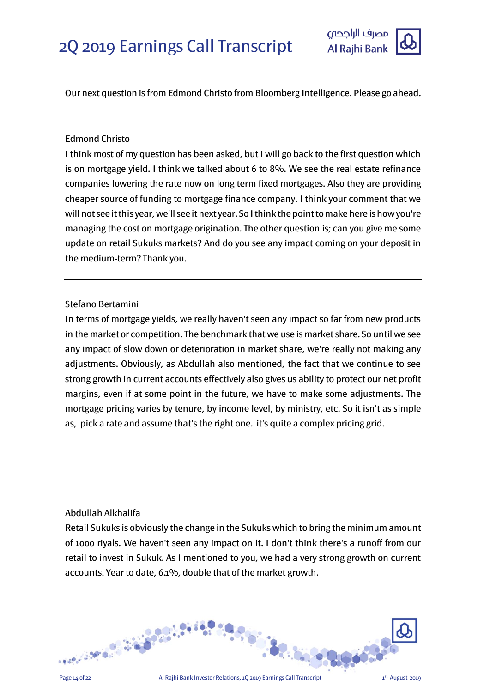

Our next question is from Edmond Christo from Bloomberg Intelligence. Please go ahead.

# Edmond Christo

I think most of my question has been asked, but I will go back to the first question which is on mortgage yield. I think we talked about 6 to  $8\%$ . We see the real estate refinance companies lowering the rate now on long term fixed mortgages. Also they are providing cheaper source of funding to mortgage finance company. I think your comment that we will not see it this year, we'll see it next year. So I think the point to make here is how you're managing the cost on mortgage origination. The other question is; can you give me some update on retail Sukuks markets? And do you see any impact coming on your deposit in the medium-term? Thank you.

# Stefano Bertamini

In terms of mortgage yields, we really haven't seen any impact so far from new products in the market or competition. The benchmark that we use is market share. So until we see any impact of slow down or deterioration in market share, we're really not making any adjustments. Obviously, as Abdullah also mentioned, the fact that we continue to see strong growth in current accounts effectively also gives us ability to protect our net profit margins, even if at some point in the future, we have to make some adjustments. The mortgage pricing varies by tenure, by income level, by ministry, etc. So it isn't as simple as, pick a rate and assume that's the right one. it's quite a complex pricing grid.

#### Abdullah Alkhalifa

Retail Sukuks is obviously the change in the Sukuks which to bring the minimum amount of 1000 riyals. We haven't seen any impact on it. I don't think there's a runoff from our retail to invest in Sukuk. As I mentioned to you, we had a very strong growth on current accounts. Year to date, 6.1%, double that of the market growth.

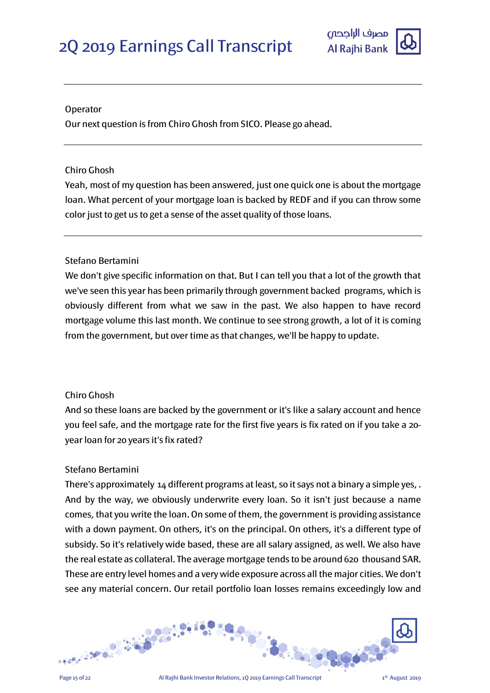

#### Operator

Our next question is from Chiro Ghosh from SICO. Please go ahead.

## Chiro Ghosh

Yeah, most of my question has been answered, just one quick one is about the mortgage loan. What percent of your mortgage loan is backed by REDF and if you can throw some color just to get us to get a sense of the asset quality of those loans.

# Stefano Bertamini

We don't give specific information on that. But I can tell you that a lot of the growth that we've seen this year has been primarily through government backed programs, which is obviously different from what we saw in the past. We also happen to have record mortgage volume this last month. We continue to see strong growth, a lot of it is coming from the government, but over time as that changes, we'll be happy to update.

# Chiro Ghosh

And so these loans are backed by the government or it's like a salary account and hence you feel safe, and the mortgage rate for the first five years is fix rated on if you take a 20 year loan for 20 years it's fix rated?

# Stefano Bertamini

There's approximately 14 different programs at least, so it says not a binary a simple yes, . And by the way, we obviously underwrite every loan. So it isn't just because a name comes, that you write the loan. On some of them, the government is providing assistance with a down payment. On others, it's on the principal. On others, it's a different type of subsidy. So it's relatively wide based, these are all salary assigned, as well. We also have the real estate as collateral. The average mortgage tends to be around 620 thousand SAR. These are entry level homes and a very wide exposure across all the major cities. We don't see any material concern. Our retail portfolio loan losses remains exceedingly low and

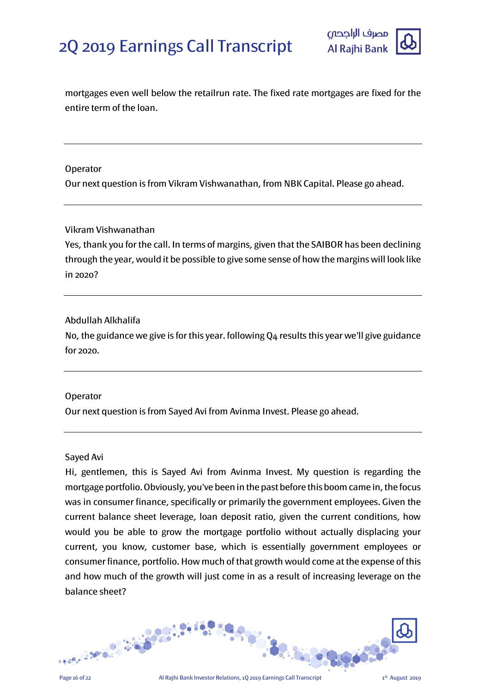

mortgages even well below the retailrun rate. The fixed rate mortgages are fixed for the entire term of the loan.

## **Operator**

Our next question is from Vikram Vishwanathan, from NBK Capital. Please go ahead.

#### Vikram Vishwanathan

Yes, thank you for the call. In terms of margins, given that the SAIBOR has been declining through the year, would it be possible to give some sense of how the margins will look like in 2020?

# Abdullah Alkhalifa

No, the guidance we give is for this year. following Q4 results this year we'll give guidance for 2020.

# Operator

Our next question is from Sayed Avi from Avinma Invest. Please go ahead.

#### Sayed Avi

Hi, gentlemen, this is Sayed Avi from Avinma Invest. My question is regarding the mortgage portfolio. Obviously, you've been in the past before this boom came in, the focus was in consumer finance, specifically or primarily the government employees. Given the current balance sheet leverage, loan deposit ratio, given the current conditions, how would you be able to grow the mortgage portfolio without actually displacing your current, you know, customer base, which is essentially government employees or consumer finance, portfolio. How much of that growth would come at the expense of this and how much of the growth will just come in as a result of increasing leverage on the balance sheet?

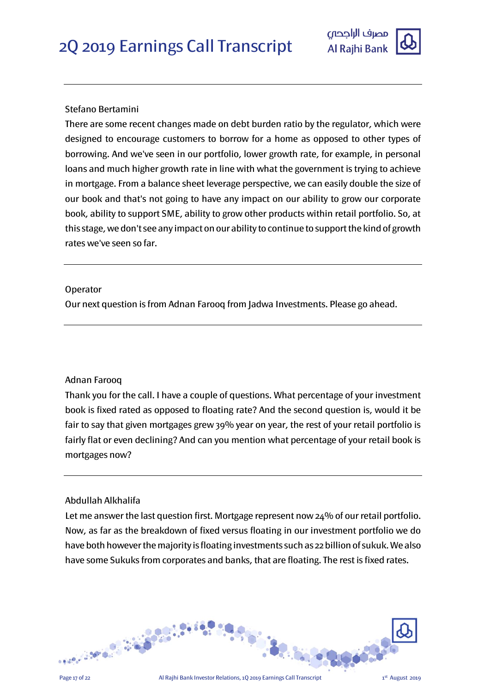

# Stefano Bertamini

There are some recent changes made on debt burden ratio by the regulator, which were designed to encourage customers to borrow for a home as opposed to other types of borrowing. And we've seen in our portfolio, lower growth rate, for example, in personal loans and much higher growth rate in line with what the government is trying to achieve in mortgage. From a balance sheet leverage perspective, we can easily double the size of our book and that's not going to have any impact on our ability to grow our corporate book, ability to support SME, ability to grow other products within retail portfolio. So, at this stage, we don't see any impact on our ability to continue to support the kind of growth rates we've seen so far.

# Operator

Our next question is from Adnan Farooq from Jadwa Investments. Please go ahead.

# Adnan Farooq

Thank you for the call. I have a couple of questions. What percentage of your investment book is fixed rated as opposed to floating rate? And the second question is, would it be fair to say that given mortgages grew 39% year on year, the rest of your retail portfolio is fairly flat or even declining? And can you mention what percentage of your retail book is mortgages now?

# Abdullah Alkhalifa

Let me answer the last question first. Mortgage represent now 24% of our retail portfolio. Now, as far as the breakdown of fixed versus floating in our investment portfolio we do have both however the majority is floating investments such as 22 billion of sukuk. We also have some Sukuks from corporates and banks, that are floating. The rest is fixed rates.

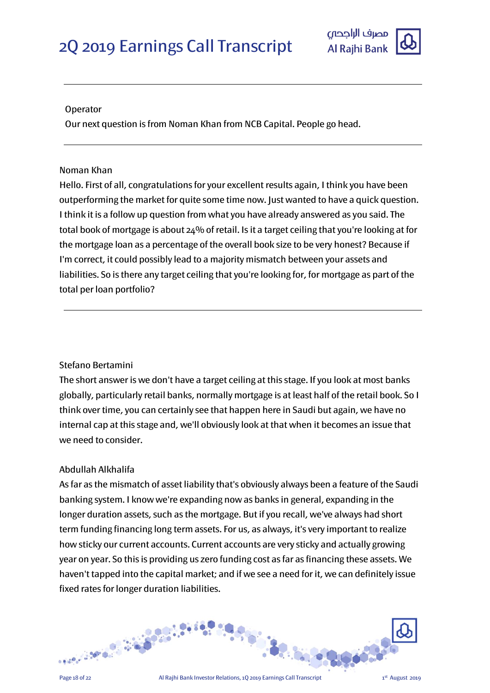

#### Operator

Our next question is from Noman Khan from NCB Capital. People go head.

## Noman Khan

Hello. First of all, congratulations for your excellent results again, I think you have been outperforming the market for quite some time now. Just wanted to have a quick question. I think it is a follow up question from what you have already answered as you said. The total book of mortgage is about 24% of retail. Is it a target ceiling that you're looking at for the mortgage loan as a percentage of the overall book size to be very honest? Because if I'm correct, it could possibly lead to a majority mismatch between your assets and liabilities. So is there any target ceiling that you're looking for, for mortgage as part of the total per loan portfolio?

# Stefano Bertamini

The short answer is we don't have a target ceiling at this stage. If you look at most banks globally, particularly retail banks, normally mortgage is at least half of the retail book. So I think over time, you can certainly see that happen here in Saudi but again, we have no internal cap at this stage and, we'll obviously look at that when it becomes an issue that we need to consider.

# Abdullah Alkhalifa

As far as the mismatch of asset liability that's obviously always been a feature of the Saudi banking system. I know we're expanding now as banks in general, expanding in the longer duration assets, such as the mortgage. But if you recall, we've always had short term funding financing long term assets. For us, as always, it's very important to realize how sticky our current accounts. Current accounts are very sticky and actually growing year on year. So this is providing us zero funding cost as far as financing these assets. We haven't tapped into the capital market; and if we see a need for it, we can definitely issue fixed rates for longer duration liabilities.

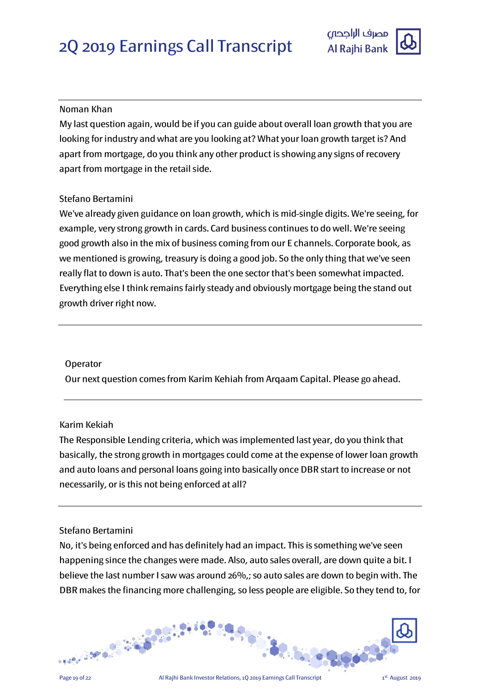

# Noman Khan

My last question again, would be if you can guide about overall loan growth that you are looking for industry and what are you looking at? What your loan growth target is? And apart from mortgage, do you think any other product is showing any signs of recovery apart from mortgage in the retail side.

# Stefano Bertamini

We've already given guidance on loan growth, which is mid-single digits. We're seeing, for example, very strong growth in cards. Card business continues to do well. We're seeing good growth also in the mix of business coming from our E channels. Corporate book, as we mentioned is growing, treasury is doing a good job. So the only thing that we've seen really flat to down is auto. That's been the one sector that's been somewhat impacted. Everything else I think remains fairly steady and obviously mortgage being the stand out growth driver right now.

# Operator

Our next question comes from Karim Kehiah from Arqaam Capital. Please go ahead.

# Karim Kekiah

The Responsible Lending criteria, which was implemented last year, do you think that basically, the strong growth in mortgages could come at the expense of lower loan growth and auto loans and personal loans going into basically once DBR start to increase or not necessarily, or is this not being enforced at all?

# Stefano Bertamini

No, it's being enforced and has definitely had an impact. This is something we've seen happening since the changes were made. Also, auto sales overall, are down quite a bit. I believe the last number I saw was around 26%,; so auto sales are down to begin with. The DBR makes the financing more challenging, so less people are eligible. So they tend to, for

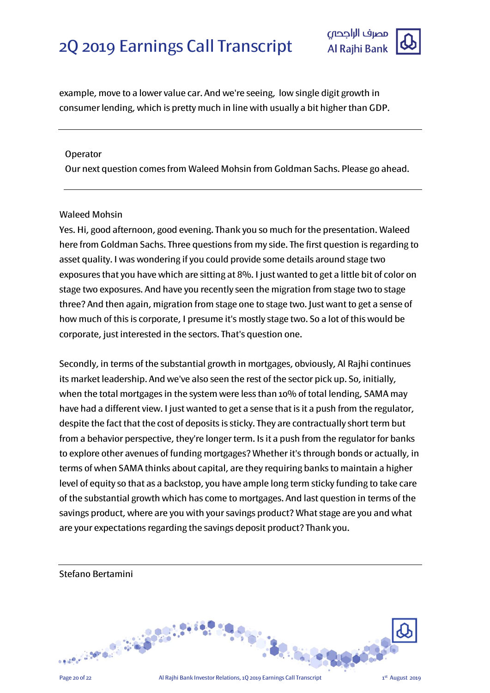

example, move to a lower value car. And we're seeing, low single digit growth in consumer lending, which is pretty much in line with usually a bit higher than GDP.

#### Operator

Our next question comes from Waleed Mohsin from Goldman Sachs. Please go ahead.

# Waleed Mohsin

Yes. Hi, good afternoon, good evening. Thank you so much for the presentation. Waleed here from Goldman Sachs. Three questions from my side. The first question is regarding to asset quality. I was wondering if you could provide some details around stage two exposures that you have which are sitting at 8%. I just wanted to get a little bit of color on stage two exposures. And have you recently seen the migration from stage two to stage three? And then again, migration from stage one to stage two. Just want to get a sense of how much of this is corporate, I presume it's mostly stage two. So a lot of this would be corporate, just interested in the sectors. That's question one.

Secondly, in terms of the substantial growth in mortgages, obviously, Al Rajhi continues its market leadership. And we've also seen the rest of the sector pick up. So, initially, when the total mortgages in the system were less than 10% of total lending, SAMA may have had a different view. I just wanted to get a sense that is it a push from the regulator, despite the fact that the cost of deposits is sticky. They are contractually short term but from a behavior perspective, they're longer term. Is it a push from the regulator for banks to explore other avenues of funding mortgages? Whether it's through bonds or actually, in terms of when SAMA thinks about capital, are they requiring banks to maintain a higher level of equity so that as a backstop, you have ample long term sticky funding to take care of the substantial growth which has come to mortgages. And last question in terms of the savings product, where are you with your savings product? What stage are you and what are your expectations regarding the savings deposit product? Thank you.

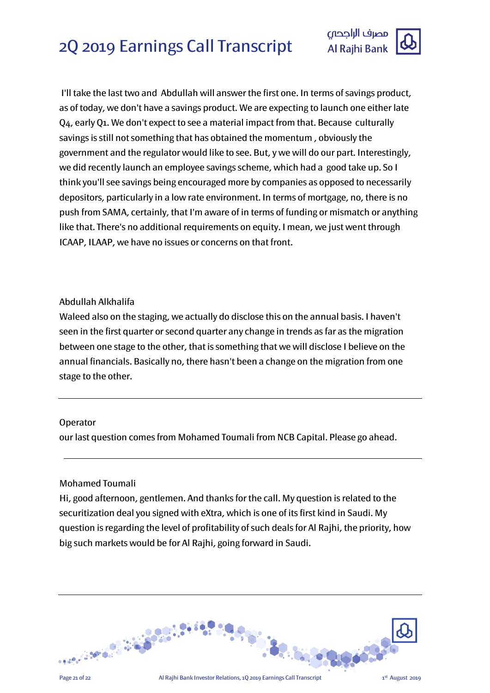

I'll take the last two and Abdullah will answer the first one. In terms of savings product, as of today, we don't have a savings product. We are expecting to launch one either late Q4, early Q1. We don't expect to see a material impact from that. Because culturally savings is still not something that has obtained the momentum , obviously the government and the regulator would like to see. But, y we will do our part. Interestingly, we did recently launch an employee savings scheme, which had a good take up. So I think you'll see savings being encouraged more by companies as opposed to necessarily depositors, particularly in a low rate environment. In terms of mortgage, no, there is no push from SAMA, certainly, that I'm aware of in terms of funding or mismatch or anything like that. There's no additional requirements on equity. I mean, we just went through ICAAP, ILAAP, we have no issues or concerns on that front.

# Abdullah Alkhalifa

Waleed also on the staging, we actually do disclose this on the annual basis. I haven't seen in the first quarter or second quarter any change in trends as far as the migration between one stage to the other, that is something that we will disclose I believe on the annual financials. Basically no, there hasn't been a change on the migration from one stage to the other.

# Operator

our last question comes from Mohamed Toumali from NCB Capital. Please go ahead.

# Mohamed Toumali

Hi, good afternoon, gentlemen. And thanks for the call. My question is related to the securitization deal you signed with eXtra, which is one of its first kind in Saudi. My question is regarding the level of profitability of such deals for Al Rajhi, the priority, how big such markets would be for Al Rajhi, going forward in Saudi.